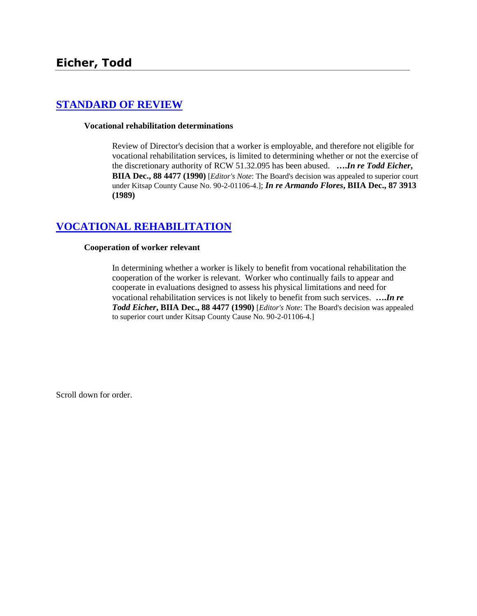# **[STANDARD OF REVIEW](http://www.biia.wa.gov/SDSubjectIndex.html#STANDARD_OF_REVIEW)**

#### **Vocational rehabilitation determinations**

Review of Director's decision that a worker is employable, and therefore not eligible for vocational rehabilitation services, is limited to determining whether or not the exercise of the discretionary authority of RCW 51.32.095 has been abused. **….***In re Todd Eicher***, BIIA Dec., 88 4477 (1990)** [*Editor's Note*: The Board's decision was appealed to superior court under Kitsap County Cause No. 90-2-01106-4.]; *In re Armando Flores***, BIIA Dec., 87 3913 (1989)**

# **[VOCATIONAL REHABILITATION](http://www.biia.wa.gov/SDSubjectIndex.html#VOCATIONAL_REHABILITATION)**

#### **Cooperation of worker relevant**

In determining whether a worker is likely to benefit from vocational rehabilitation the cooperation of the worker is relevant. Worker who continually fails to appear and cooperate in evaluations designed to assess his physical limitations and need for vocational rehabilitation services is not likely to benefit from such services. **….***In re Todd Eicher***, BIIA Dec., 88 4477 (1990)** [*Editor's Note*: The Board's decision was appealed to superior court under Kitsap County Cause No. 90-2-01106-4.]

Scroll down for order.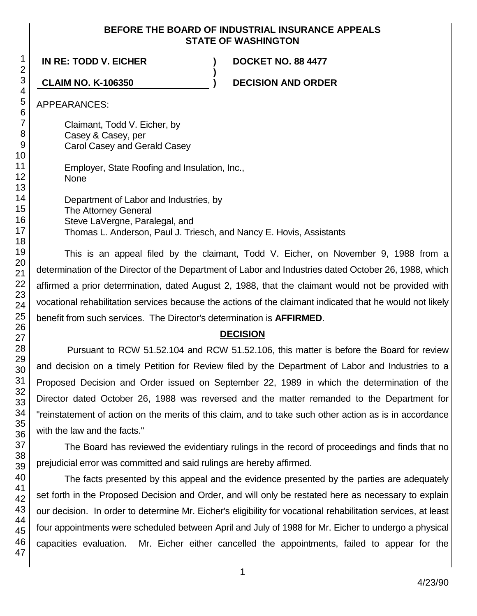## **BEFORE THE BOARD OF INDUSTRIAL INSURANCE APPEALS STATE OF WASHINGTON**

**)**

**IN RE: TODD V. EICHER ) DOCKET NO. 88 4477**

**CLAIM NO. K-106350 ) DECISION AND ORDER**

APPEARANCES:

Claimant, Todd V. Eicher, by Casey & Casey, per Carol Casey and Gerald Casey

Employer, State Roofing and Insulation, Inc., None

Department of Labor and Industries, by The Attorney General Steve LaVergne, Paralegal, and Thomas L. Anderson, Paul J. Triesch, and Nancy E. Hovis, Assistants

This is an appeal filed by the claimant, Todd V. Eicher, on November 9, 1988 from a determination of the Director of the Department of Labor and Industries dated October 26, 1988, which affirmed a prior determination, dated August 2, 1988, that the claimant would not be provided with vocational rehabilitation services because the actions of the claimant indicated that he would not likely benefit from such services. The Director's determination is **AFFIRMED**.

# **DECISION**

Pursuant to RCW 51.52.104 and RCW 51.52.106, this matter is before the Board for review and decision on a timely Petition for Review filed by the Department of Labor and Industries to a Proposed Decision and Order issued on September 22, 1989 in which the determination of the Director dated October 26, 1988 was reversed and the matter remanded to the Department for "reinstatement of action on the merits of this claim, and to take such other action as is in accordance with the law and the facts."

The Board has reviewed the evidentiary rulings in the record of proceedings and finds that no prejudicial error was committed and said rulings are hereby affirmed.

The facts presented by this appeal and the evidence presented by the parties are adequately set forth in the Proposed Decision and Order, and will only be restated here as necessary to explain our decision. In order to determine Mr. Eicher's eligibility for vocational rehabilitation services, at least four appointments were scheduled between April and July of 1988 for Mr. Eicher to undergo a physical capacities evaluation. Mr. Eicher either cancelled the appointments, failed to appear for the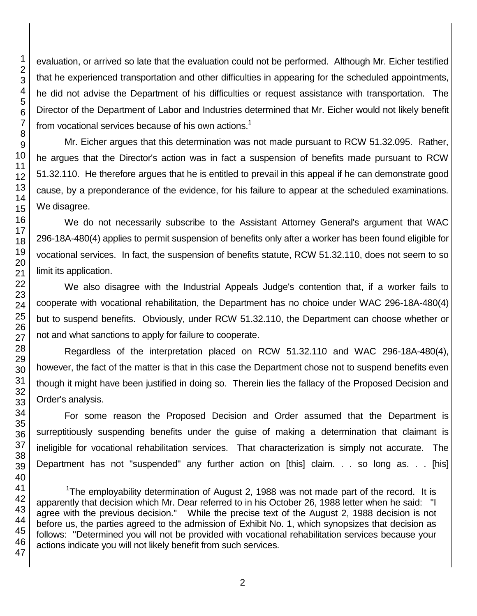evaluation, or arrived so late that the evaluation could not be performed. Although Mr. Eicher testified that he experienced transportation and other difficulties in appearing for the scheduled appointments, he did not advise the Department of his difficulties or request assistance with transportation. The Director of the Department of Labor and Industries determined that Mr. Eicher would not likely benefit from vocational services because of his own actions.<sup>1</sup>

Mr. Eicher argues that this determination was not made pursuant to RCW 51.32.095. Rather, he argues that the Director's action was in fact a suspension of benefits made pursuant to RCW 51.32.110. He therefore argues that he is entitled to prevail in this appeal if he can demonstrate good cause, by a preponderance of the evidence, for his failure to appear at the scheduled examinations. We disagree.

We do not necessarily subscribe to the Assistant Attorney General's argument that WAC 296-18A-480(4) applies to permit suspension of benefits only after a worker has been found eligible for vocational services. In fact, the suspension of benefits statute, RCW 51.32.110, does not seem to so limit its application.

We also disagree with the Industrial Appeals Judge's contention that, if a worker fails to cooperate with vocational rehabilitation, the Department has no choice under WAC 296-18A-480(4) but to suspend benefits. Obviously, under RCW 51.32.110, the Department can choose whether or not and what sanctions to apply for failure to cooperate.

Regardless of the interpretation placed on RCW 51.32.110 and WAC 296-18A-480(4), however, the fact of the matter is that in this case the Department chose not to suspend benefits even though it might have been justified in doing so. Therein lies the fallacy of the Proposed Decision and Order's analysis.

For some reason the Proposed Decision and Order assumed that the Department is surreptitiously suspending benefits under the guise of making a determination that claimant is ineligible for vocational rehabilitation services. That characterization is simply not accurate. The Department has not "suspended" any further action on [this] claim. . . so long as. . . [his]

l

1

2

<sup>&</sup>lt;sup>1</sup>The employability determination of August 2, 1988 was not made part of the record. It is apparently that decision which Mr. Dear referred to in his October 26, 1988 letter when he said: "I agree with the previous decision." While the precise text of the August 2, 1988 decision is not before us, the parties agreed to the admission of Exhibit No. 1, which synopsizes that decision as follows: "Determined you will not be provided with vocational rehabilitation services because your actions indicate you will not likely benefit from such services.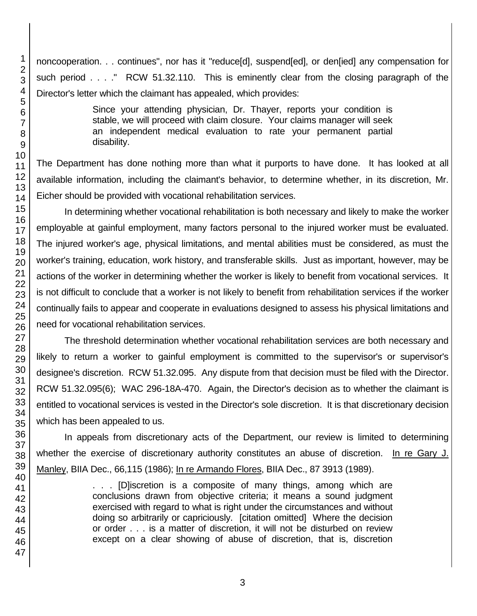noncooperation. . . continues", nor has it "reduce[d], suspend[ed], or den[ied] any compensation for such period . . . ." RCW 51.32.110. This is eminently clear from the closing paragraph of the Director's letter which the claimant has appealed, which provides:

> Since your attending physician, Dr. Thayer, reports your condition is stable, we will proceed with claim closure. Your claims manager will seek an independent medical evaluation to rate your permanent partial disability.

The Department has done nothing more than what it purports to have done. It has looked at all available information, including the claimant's behavior, to determine whether, in its discretion, Mr. Eicher should be provided with vocational rehabilitation services.

In determining whether vocational rehabilitation is both necessary and likely to make the worker employable at gainful employment, many factors personal to the injured worker must be evaluated. The injured worker's age, physical limitations, and mental abilities must be considered, as must the worker's training, education, work history, and transferable skills. Just as important, however, may be actions of the worker in determining whether the worker is likely to benefit from vocational services. It is not difficult to conclude that a worker is not likely to benefit from rehabilitation services if the worker continually fails to appear and cooperate in evaluations designed to assess his physical limitations and need for vocational rehabilitation services.

The threshold determination whether vocational rehabilitation services are both necessary and likely to return a worker to gainful employment is committed to the supervisor's or supervisor's designee's discretion. RCW 51.32.095. Any dispute from that decision must be filed with the Director. RCW 51.32.095(6); WAC 296-18A-470. Again, the Director's decision as to whether the claimant is entitled to vocational services is vested in the Director's sole discretion. It is that discretionary decision which has been appealed to us.

In appeals from discretionary acts of the Department, our review is limited to determining whether the exercise of discretionary authority constitutes an abuse of discretion. In re Gary J. Manley, BIIA Dec., 66,115 (1986); In re Armando Flores, BIIA Dec., 87 3913 (1989).

> . . . [D]iscretion is a composite of many things, among which are conclusions drawn from objective criteria; it means a sound judgment exercised with regard to what is right under the circumstances and without doing so arbitrarily or capriciously. [citation omitted] Where the decision or order . . . is a matter of discretion, it will not be disturbed on review except on a clear showing of abuse of discretion, that is, discretion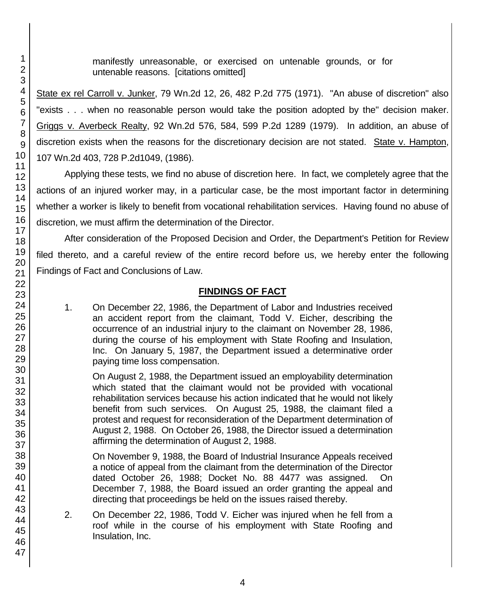manifestly unreasonable, or exercised on untenable grounds, or for untenable reasons. [citations omitted]

State ex rel Carroll v. Junker, 79 Wn.2d 12, 26, 482 P.2d 775 (1971). "An abuse of discretion" also "exists . . . when no reasonable person would take the position adopted by the" decision maker. Griggs v. Averbeck Realty, 92 Wn.2d 576, 584, 599 P.2d 1289 (1979). In addition, an abuse of discretion exists when the reasons for the discretionary decision are not stated. State v. Hampton, 107 Wn.2d 403, 728 P.2d1049, (1986).

Applying these tests, we find no abuse of discretion here. In fact, we completely agree that the actions of an injured worker may, in a particular case, be the most important factor in determining whether a worker is likely to benefit from vocational rehabilitation services. Having found no abuse of discretion, we must affirm the determination of the Director.

After consideration of the Proposed Decision and Order, the Department's Petition for Review filed thereto, and a careful review of the entire record before us, we hereby enter the following Findings of Fact and Conclusions of Law.

# **FINDINGS OF FACT**

1. On December 22, 1986, the Department of Labor and Industries received an accident report from the claimant, Todd V. Eicher, describing the occurrence of an industrial injury to the claimant on November 28, 1986, during the course of his employment with State Roofing and Insulation, Inc. On January 5, 1987, the Department issued a determinative order paying time loss compensation.

On August 2, 1988, the Department issued an employability determination which stated that the claimant would not be provided with vocational rehabilitation services because his action indicated that he would not likely benefit from such services. On August 25, 1988, the claimant filed a protest and request for reconsideration of the Department determination of August 2, 1988. On October 26, 1988, the Director issued a determination affirming the determination of August 2, 1988.

On November 9, 1988, the Board of Industrial Insurance Appeals received a notice of appeal from the claimant from the determination of the Director dated October 26, 1988; Docket No. 88 4477 was assigned. On December 7, 1988, the Board issued an order granting the appeal and directing that proceedings be held on the issues raised thereby.

2. On December 22, 1986, Todd V. Eicher was injured when he fell from a roof while in the course of his employment with State Roofing and Insulation, Inc.